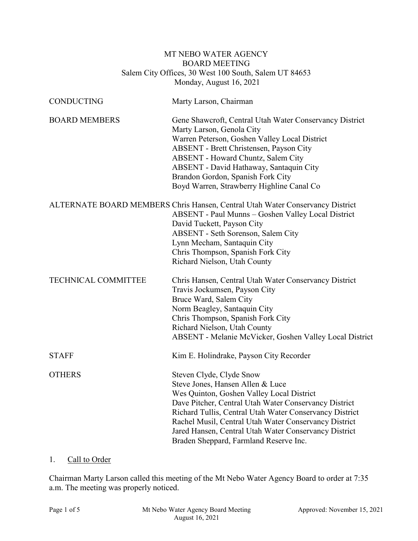### MT NEBO WATER AGENCY BOARD MEETING Salem City Offices, 30 West 100 South, Salem UT 84653 Monday, August 16, 2021

| <b>CONDUCTING</b>          | Marty Larson, Chairman                                                                                                                                                                                                                                                                                                                                                                    |
|----------------------------|-------------------------------------------------------------------------------------------------------------------------------------------------------------------------------------------------------------------------------------------------------------------------------------------------------------------------------------------------------------------------------------------|
| <b>BOARD MEMBERS</b>       | Gene Shawcroft, Central Utah Water Conservancy District<br>Marty Larson, Genola City<br>Warren Peterson, Goshen Valley Local District<br>ABSENT - Brett Christensen, Payson City<br>ABSENT - Howard Chuntz, Salem City<br>ABSENT - David Hathaway, Santaquin City<br>Brandon Gordon, Spanish Fork City<br>Boyd Warren, Strawberry Highline Canal Co                                       |
|                            | ALTERNATE BOARD MEMBERS Chris Hansen, Central Utah Water Conservancy District<br>ABSENT - Paul Munns - Goshen Valley Local District<br>David Tuckett, Payson City<br>ABSENT - Seth Sorenson, Salem City<br>Lynn Mecham, Santaquin City<br>Chris Thompson, Spanish Fork City<br>Richard Nielson, Utah County                                                                               |
| <b>TECHNICAL COMMITTEE</b> | Chris Hansen, Central Utah Water Conservancy District<br>Travis Jockumsen, Payson City<br>Bruce Ward, Salem City<br>Norm Beagley, Santaquin City<br>Chris Thompson, Spanish Fork City<br>Richard Nielson, Utah County<br>ABSENT - Melanie McVicker, Goshen Valley Local District                                                                                                          |
| <b>STAFF</b>               | Kim E. Holindrake, Payson City Recorder                                                                                                                                                                                                                                                                                                                                                   |
| <b>OTHERS</b>              | Steven Clyde, Clyde Snow<br>Steve Jones, Hansen Allen & Luce<br>Wes Quinton, Goshen Valley Local District<br>Dave Pitcher, Central Utah Water Conservancy District<br>Richard Tullis, Central Utah Water Conservancy District<br>Rachel Musil, Central Utah Water Conservancy District<br>Jared Hansen, Central Utah Water Conservancy District<br>Braden Sheppard, Farmland Reserve Inc. |

## 1. Call to Order

Chairman Marty Larson called this meeting of the Mt Nebo Water Agency Board to order at 7:35 a.m. The meeting was properly noticed.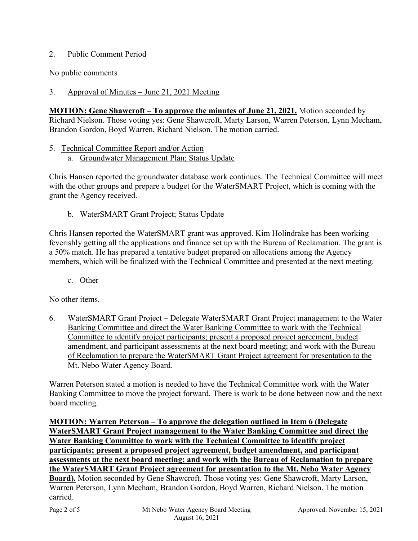## 2. Public Comment Period

No public comments

3. Approval of Minutes – June 21, 2021 Meeting

**MOTION: Gene Shawcroft – To approve the minutes of June 21, 2021.** Motion seconded by Richard Nielson. Those voting yes: Gene Shawcroft, Marty Larson, Warren Peterson, Lynn Mecham, Brandon Gordon, Boyd Warren, Richard Nielson. The motion carried.

- 5. Technical Committee Report and/or Action
	- a. Groundwater Management Plan; Status Update

Chris Hansen reported the groundwater database work continues. The Technical Committee will meet with the other groups and prepare a budget for the WaterSMART Project, which is coming with the grant the Agency received.

b. WaterSMART Grant Project; Status Update

Chris Hansen reported the WaterSMART grant was approved. Kim Holindrake has been working feverishly getting all the applications and finance set up with the Bureau of Reclamation. The grant is a 50% match. He has prepared a tentative budget prepared on allocations among the Agency members, which will be finalized with the Technical Committee and presented at the next meeting.

c. Other

No other items.

6. WaterSMART Grant Project – Delegate WaterSMART Grant Project management to the Water Banking Committee and direct the Water Banking Committee to work with the Technical Committee to identify project participants; present a proposed project agreement, budget amendment, and participant assessments at the next board meeting; and work with the Bureau of Reclamation to prepare the WaterSMART Grant Project agreement for presentation to the Mt. Nebo Water Agency Board.

Warren Peterson stated a motion is needed to have the Technical Committee work with the Water Banking Committee to move the project forward. There is work to be done between now and the next board meeting.

**MOTION: Warren Peterson – To approve the delegation outlined in Item 6 (Delegate WaterSMART Grant Project management to the Water Banking Committee and direct the Water Banking Committee to work with the Technical Committee to identify project participants; present a proposed project agreement, budget amendment, and participant assessments at the next board meeting; and work with the Bureau of Reclamation to prepare the WaterSMART Grant Project agreement for presentation to the Mt. Nebo Water Agency Board).** Motion seconded by Gene Shawcroft. Those voting yes: Gene Shawcroft, Marty Larson, Warren Peterson, Lynn Mecham, Brandon Gordon, Boyd Warren, Richard Nielson. The motion carried.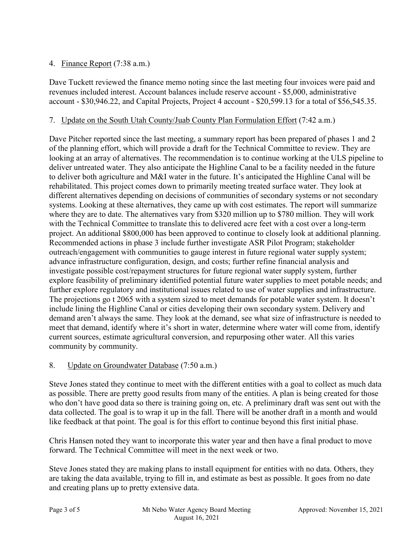## 4. Finance Report (7:38 a.m.)

Dave Tuckett reviewed the finance memo noting since the last meeting four invoices were paid and revenues included interest. Account balances include reserve account - \$5,000, administrative account - \$30,946.22, and Capital Projects, Project 4 account - \$20,599.13 for a total of \$56,545.35.

#### 7. Update on the South Utah County/Juab County Plan Formulation Effort (7:42 a.m.)

Dave Pitcher reported since the last meeting, a summary report has been prepared of phases 1 and 2 of the planning effort, which will provide a draft for the Technical Committee to review. They are looking at an array of alternatives. The recommendation is to continue working at the ULS pipeline to deliver untreated water. They also anticipate the Highline Canal to be a facility needed in the future to deliver both agriculture and M&I water in the future. It's anticipated the Highline Canal will be rehabilitated. This project comes down to primarily meeting treated surface water. They look at different alternatives depending on decisions of communities of secondary systems or not secondary systems. Looking at these alternatives, they came up with cost estimates. The report will summarize where they are to date. The alternatives vary from \$320 million up to \$780 million. They will work with the Technical Committee to translate this to delivered acre feet with a cost over a long-term project. An additional \$800,000 has been approved to continue to closely look at additional planning. Recommended actions in phase 3 include further investigate ASR Pilot Program; stakeholder outreach/engagement with communities to gauge interest in future regional water supply system; advance infrastructure configuration, design, and costs; further refine financial analysis and investigate possible cost/repayment structures for future regional water supply system, further explore feasibility of preliminary identified potential future water supplies to meet potable needs; and further explore regulatory and institutional issues related to use of water supplies and infrastructure. The projections go t 2065 with a system sized to meet demands for potable water system. It doesn't include lining the Highline Canal or cities developing their own secondary system. Delivery and demand aren't always the same. They look at the demand, see what size of infrastructure is needed to meet that demand, identify where it's short in water, determine where water will come from, identify current sources, estimate agricultural conversion, and repurposing other water. All this varies community by community.

### 8. Update on Groundwater Database (7:50 a.m.)

Steve Jones stated they continue to meet with the different entities with a goal to collect as much data as possible. There are pretty good results from many of the entities. A plan is being created for those who don't have good data so there is training going on, etc. A preliminary draft was sent out with the data collected. The goal is to wrap it up in the fall. There will be another draft in a month and would like feedback at that point. The goal is for this effort to continue beyond this first initial phase.

Chris Hansen noted they want to incorporate this water year and then have a final product to move forward. The Technical Committee will meet in the next week or two.

Steve Jones stated they are making plans to install equipment for entities with no data. Others, they are taking the data available, trying to fill in, and estimate as best as possible. It goes from no date and creating plans up to pretty extensive data.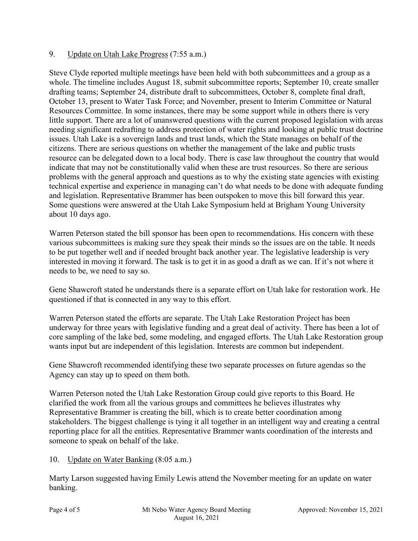## 9. Update on Utah Lake Progress (7:55 a.m.)

Steve Clyde reported multiple meetings have been held with both subcommittees and a group as a whole. The timeline includes August 18, submit subcommittee reports; September 10, create smaller drafting teams; September 24, distribute draft to subcommittees, October 8, complete final draft, October 13, present to Water Task Force; and November, present to Interim Committee or Natural Resources Committee. In some instances, there may be some support while in others there is very little support. There are a lot of unanswered questions with the current proposed legislation with areas needing significant redrafting to address protection of water rights and looking at public trust doctrine issues. Utah Lake is a sovereign lands and trust lands, which the State manages on behalf of the citizens. There are serious questions on whether the management of the lake and public trusts resource can be delegated down to a local body. There is case law throughout the country that would indicate that may not be constitutionally valid when these are trust resources. So there are serious problems with the general approach and questions as to why the existing state agencies with existing technical expertise and experience in managing can't do what needs to be done with adequate funding and legislation. Representative Brammer has been outspoken to move this bill forward this year. Some questions were answered at the Utah Lake Symposium held at Brigham Young University about 10 days ago.

Warren Peterson stated the bill sponsor has been open to recommendations. His concern with these various subcommittees is making sure they speak their minds so the issues are on the table. It needs to be put together well and if needed brought back another year. The legislative leadership is very interested in moving it forward. The task is to get it in as good a draft as we can. If it's not where it needs to be, we need to say so.

Gene Shawcroft stated he understands there is a separate effort on Utah lake for restoration work. He questioned if that is connected in any way to this effort.

Warren Peterson stated the efforts are separate. The Utah Lake Restoration Project has been underway for three years with legislative funding and a great deal of activity. There has been a lot of core sampling of the lake bed, some modeling, and engaged efforts. The Utah Lake Restoration group wants input but are independent of this legislation. Interests are common but independent.

Gene Shawcroft recommended identifying these two separate processes on future agendas so the Agency can stay up to speed on them both.

Warren Peterson noted the Utah Lake Restoration Group could give reports to this Board. He clarified the work from all the various groups and committees he believes illustrates why Representative Brammer is creating the bill, which is to create better coordination among stakeholders. The biggest challenge is tying it all together in an intelligent way and creating a central reporting place for all the entities. Representative Brammer wants coordination of the interests and someone to speak on behalf of the lake.

# 10. Update on Water Banking (8:05 a.m.)

Marty Larson suggested having Emily Lewis attend the November meeting for an update on water banking.